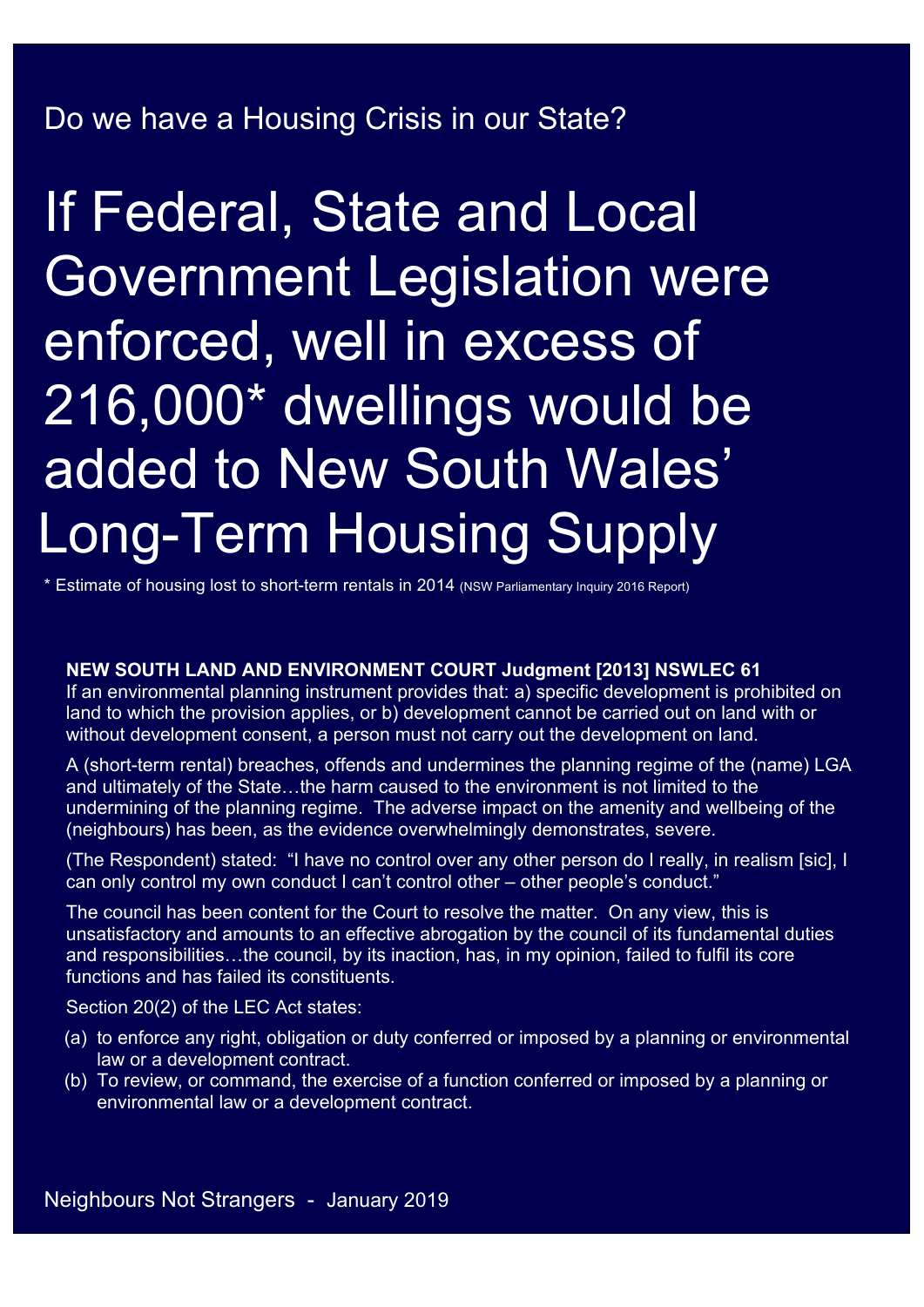# Do we have a Housing Crisis in our State?

If Federal, State and Local Government Legislation were enforced, well in excess of 216,000\* dwellings would be added to New South Wales' Long-Term Housing Supply

\* Estimate of housing lost to short-term rentals in 2014 (NSW Parliamentary Inquiry 2016 Report)

#### **NEW SOUTH LAND AND ENVIRONMENT COURT Judgment [2013] NSWLEC 61**

If an environmental planning instrument provides that: a) specific development is prohibited on land to which the provision applies, or b) development cannot be carried out on land with or without development consent, a person must not carry out the development on land.

A (short-term rental) breaches, offends and undermines the planning regime of the (name) LGA and ultimately of the State…the harm caused to the environment is not limited to the undermining of the planning regime. The adverse impact on the amenity and wellbeing of the (neighbours) has been, as the evidence overwhelmingly demonstrates, severe.

(The Respondent) stated: "I have no control over any other person do I really, in realism [sic], I can only control my own conduct I can't control other – other people's conduct."

The council has been content for the Court to resolve the matter. On any view, this is unsatisfactory and amounts to an effective abrogation by the council of its fundamental duties and responsibilities…the council, by its inaction, has, in my opinion, failed to fulfil its core functions and has failed its constituents.

Section 20(2) of the LEC Act states:

- (a) to enforce any right, obligation or duty conferred or imposed by a planning or environmental law or a development contract.
- (b) To review, or command, the exercise of a function conferred or imposed by a planning or environmental law or a development contract.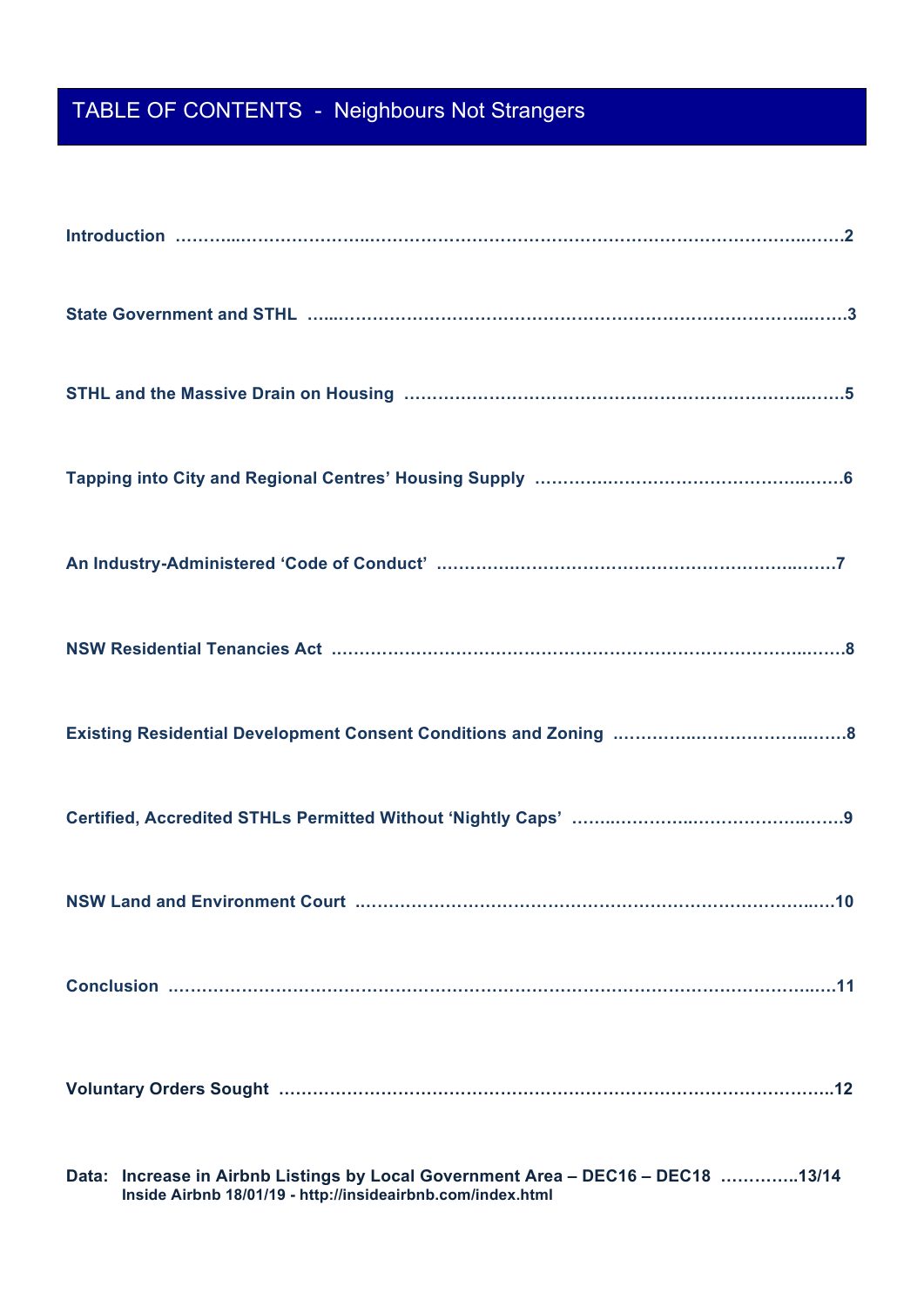# TABLE OF CONTENTS - Neighbours Not Strangers

| Data: Increase in Airbnb Listings by Local Government Area - DEC16 - DEC18 13/14 |
|----------------------------------------------------------------------------------|

**Inside Airbnb 18/01/19 - http://insideairbnb.com/index.html**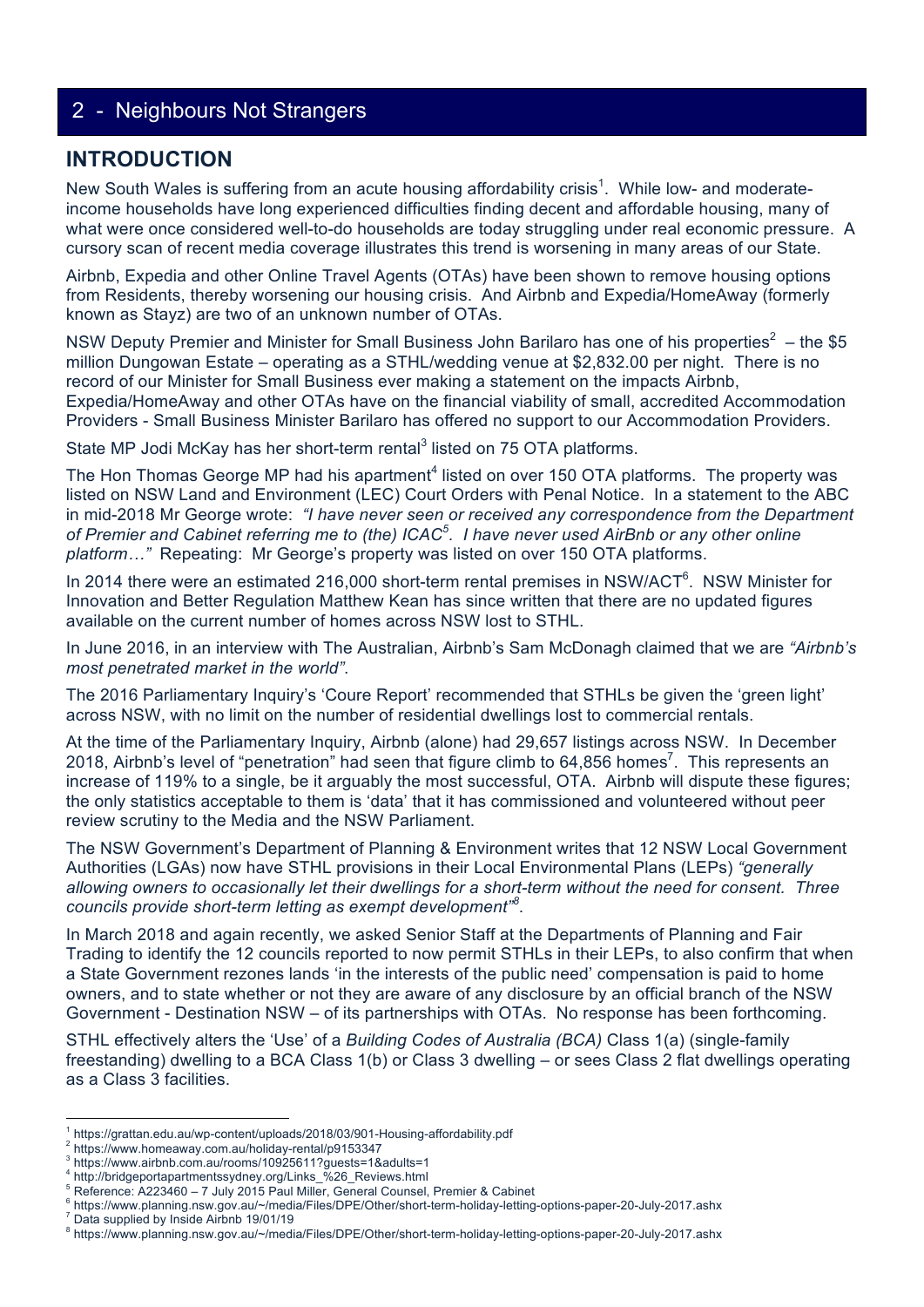#### **INTRODUCTION**

New South Wales is suffering from an acute housing affordability crisis<sup>1</sup>. While low- and moderateincome households have long experienced difficulties finding decent and affordable housing, many of what were once considered well-to-do households are today struggling under real economic pressure. A cursory scan of recent media coverage illustrates this trend is worsening in many areas of our State.

Airbnb, Expedia and other Online Travel Agents (OTAs) have been shown to remove housing options from Residents, thereby worsening our housing crisis. And Airbnb and Expedia/HomeAway (formerly known as Stayz) are two of an unknown number of OTAs.

NSW Deputy Premier and Minister for Small Business John Barilaro has one of his properties<sup>2</sup> – the \$5 million Dungowan Estate – operating as a STHL/wedding venue at \$2,832.00 per night. There is no record of our Minister for Small Business ever making a statement on the impacts Airbnb, Expedia/HomeAway and other OTAs have on the financial viability of small, accredited Accommodation Providers - Small Business Minister Barilaro has offered no support to our Accommodation Providers.

State MP Jodi McKay has her short-term rental<sup>3</sup> listed on 75 OTA platforms.

The Hon Thomas George MP had his apartment<sup>4</sup> listed on over 150 OTA platforms. The property was listed on NSW Land and Environment (LEC) Court Orders with Penal Notice. In a statement to the ABC in mid-2018 Mr George wrote: *"I have never seen or received any correspondence from the Department of Premier and Cabinet referring me to (the) ICAC<sup>5</sup> . I have never used AirBnb or any other online platform…"* Repeating: Mr George's property was listed on over 150 OTA platforms.

In 2014 there were an estimated 216,000 short-term rental premises in NSW/ACT<sup>6</sup>. NSW Minister for Innovation and Better Regulation Matthew Kean has since written that there are no updated figures available on the current number of homes across NSW lost to STHL.

In June 2016, in an interview with The Australian, Airbnb's Sam McDonagh claimed that we are *"Airbnb's most penetrated market in the world"*.

The 2016 Parliamentary Inquiry's 'Coure Report' recommended that STHLs be given the 'green light' across NSW, with no limit on the number of residential dwellings lost to commercial rentals.

At the time of the Parliamentary Inquiry, Airbnb (alone) had 29,657 listings across NSW. In December 2018, Airbnb's level of "penetration" had seen that figure climb to 64,856 homes<sup>7</sup>. This represents an increase of 119% to a single, be it arguably the most successful, OTA. Airbnb will dispute these figures; the only statistics acceptable to them is 'data' that it has commissioned and volunteered without peer review scrutiny to the Media and the NSW Parliament.

The NSW Government's Department of Planning & Environment writes that 12 NSW Local Government Authorities (LGAs) now have STHL provisions in their Local Environmental Plans (LEPs) *"generally allowing owners to occasionally let their dwellings for a short-term without the need for consent. Three councils provide short-term letting as exempt development"<sup>8</sup>* .

In March 2018 and again recently, we asked Senior Staff at the Departments of Planning and Fair Trading to identify the 12 councils reported to now permit STHLs in their LEPs, to also confirm that when a State Government rezones lands 'in the interests of the public need' compensation is paid to home owners, and to state whether or not they are aware of any disclosure by an official branch of the NSW Government - Destination NSW – of its partnerships with OTAs. No response has been forthcoming.

STHL effectively alters the 'Use' of a *Building Codes of Australia (BCA)* Class 1(a) (single-family freestanding) dwelling to a BCA Class 1(b) or Class 3 dwelling – or sees Class 2 flat dwellings operating as a Class 3 facilities.

Data supplied by Inside Airbnb 19/01/19

 $\frac{1}{1}$  https://aratton.odu.ou/up.contont/uplog https://grattan.edu.au/wp-content/uploads/2018/03/901-Housing-affordability.pdf<br>2 https://www.bomeourov.com.ou/bolidov.rontel/p0153347

<sup>&</sup>lt;sup>2</sup> https://www.homeaway.com.au/holiday-rental/p9153347

 $^3$  https://www.airbnb.com.au/rooms/10925611?guests=1&adults=1<br> $^4$  http://bridgenertenertenates/dney-eral/linke\_%26. Perissue html

http://bridgeportapartmentssydney.org/Links\_%26\_Reviews.html

 $^5$  Reference: A223460 – 7 July 2015 Paul Miller, General Counsel, Premier & Cabinet

https://www.planning.nsw.gov.au/~/media/Files/DPE/Other/short-term-holiday-letting-options-paper-20-July-2017.ashx <sup>7</sup>

<sup>&</sup>lt;sup>8</sup> https://www.planning.nsw.gov.au/~/media/Files/DPE/Other/short-term-holiday-letting-options-paper-20-July-2017.ashx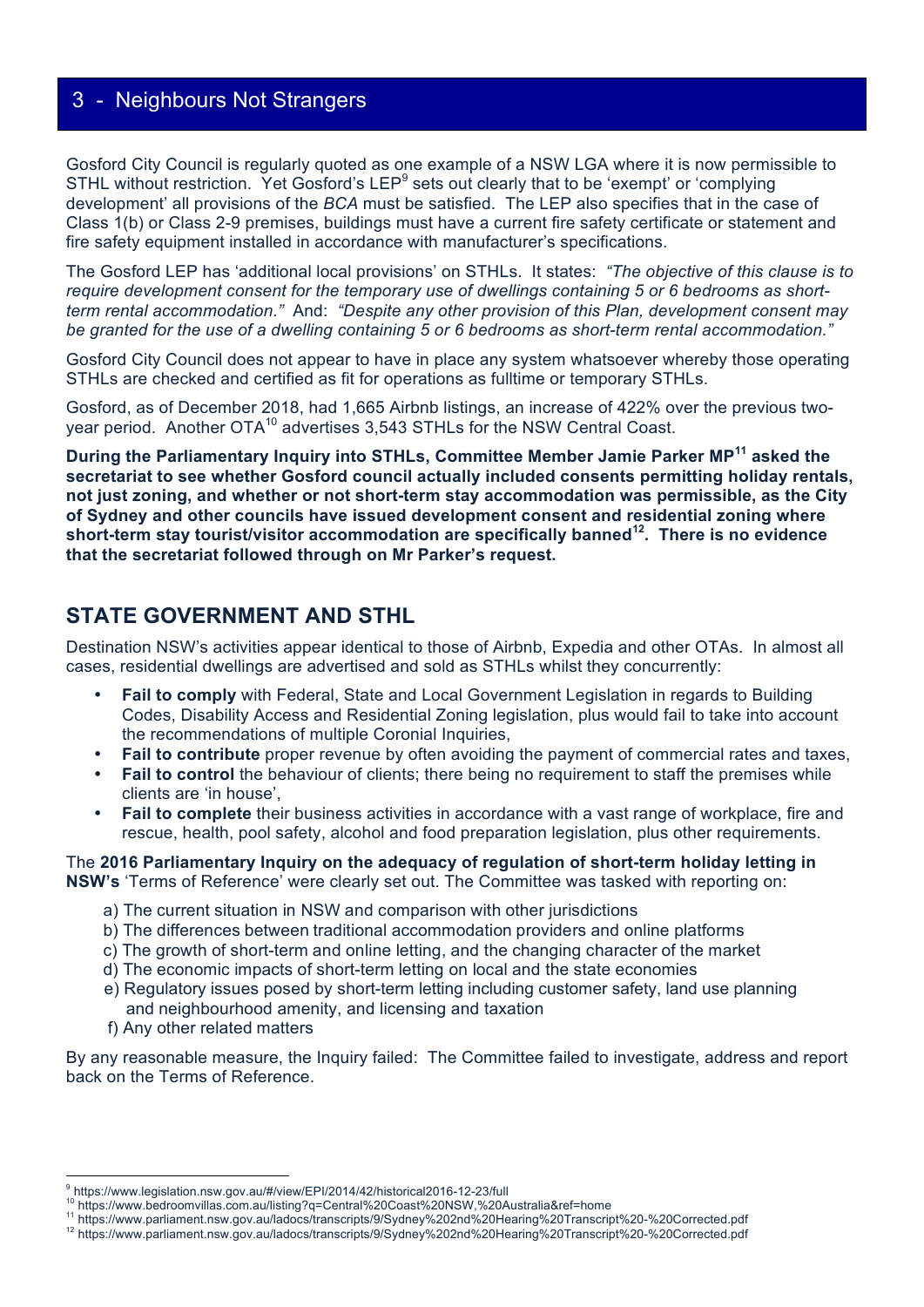Gosford City Council is regularly quoted as one example of a NSW LGA where it is now permissible to STHL without restriction. Yet Gosford's LEP<sup>9</sup> sets out clearly that to be 'exempt' or 'complying development' all provisions of the *BCA* must be satisfied. The LEP also specifies that in the case of Class 1(b) or Class 2-9 premises, buildings must have a current fire safety certificate or statement and fire safety equipment installed in accordance with manufacturer's specifications.

The Gosford LEP has 'additional local provisions' on STHLs. It states: *"The objective of this clause is to require development consent for the temporary use of dwellings containing 5 or 6 bedrooms as shortterm rental accommodation."* And: *"Despite any other provision of this Plan, development consent may be granted for the use of a dwelling containing 5 or 6 bedrooms as short-term rental accommodation."*

Gosford City Council does not appear to have in place any system whatsoever whereby those operating STHLs are checked and certified as fit for operations as fulltime or temporary STHLs.

Gosford, as of December 2018, had 1,665 Airbnb listings, an increase of 422% over the previous twoyear period. Another OTA<sup>10</sup> advertises 3,543 STHLs for the NSW Central Coast.

**During the Parliamentary Inquiry into STHLs, Committee Member Jamie Parker MP11 asked the secretariat to see whether Gosford council actually included consents permitting holiday rentals, not just zoning, and whether or not short-term stay accommodation was permissible, as the City of Sydney and other councils have issued development consent and residential zoning where short-term stay tourist/visitor accommodation are specifically banned12. There is no evidence that the secretariat followed through on Mr Parker's request.** 

### **STATE GOVERNMENT AND STHL**

Destination NSW's activities appear identical to those of Airbnb, Expedia and other OTAs. In almost all cases, residential dwellings are advertised and sold as STHLs whilst they concurrently:

- **Fail to comply** with Federal, State and Local Government Legislation in regards to Building Codes, Disability Access and Residential Zoning legislation, plus would fail to take into account the recommendations of multiple Coronial Inquiries,
- **Fail to contribute** proper revenue by often avoiding the payment of commercial rates and taxes,
- **Fail to control** the behaviour of clients; there being no requirement to staff the premises while clients are 'in house',
- **Fail to complete** their business activities in accordance with a vast range of workplace, fire and rescue, health, pool safety, alcohol and food preparation legislation, plus other requirements.

The **2016 Parliamentary Inquiry on the adequacy of regulation of short-term holiday letting in NSW's** 'Terms of Reference' were clearly set out. The Committee was tasked with reporting on:

- a) The current situation in NSW and comparison with other jurisdictions
- b) The differences between traditional accommodation providers and online platforms
- c) The growth of short-term and online letting, and the changing character of the market
- d) The economic impacts of short-term letting on local and the state economies
- e) Regulatory issues posed by short-term letting including customer safety, land use planning and neighbourhood amenity, and licensing and taxation
- f) Any other related matters

 

By any reasonable measure, the Inquiry failed: The Committee failed to investigate, address and report back on the Terms of Reference.

<sup>&</sup>lt;sup>9</sup> https://www.legislation.nsw.gov.au/#/view/EPI/2014/42/historical2016-12-23/full

<sup>&</sup>lt;sup>10</sup> https://www.bedroomvillas.com.au/listing?q=Central%20Coast%20NSW,%20Australia&ref=home<br><sup>11</sup> https://www.parliament.nsw.gov.au/ladocs/transcripts/9/Sydney%202nd%20Hearing%20Transcript%20-%20Corrected.pdf<br><sup>12</sup> https://w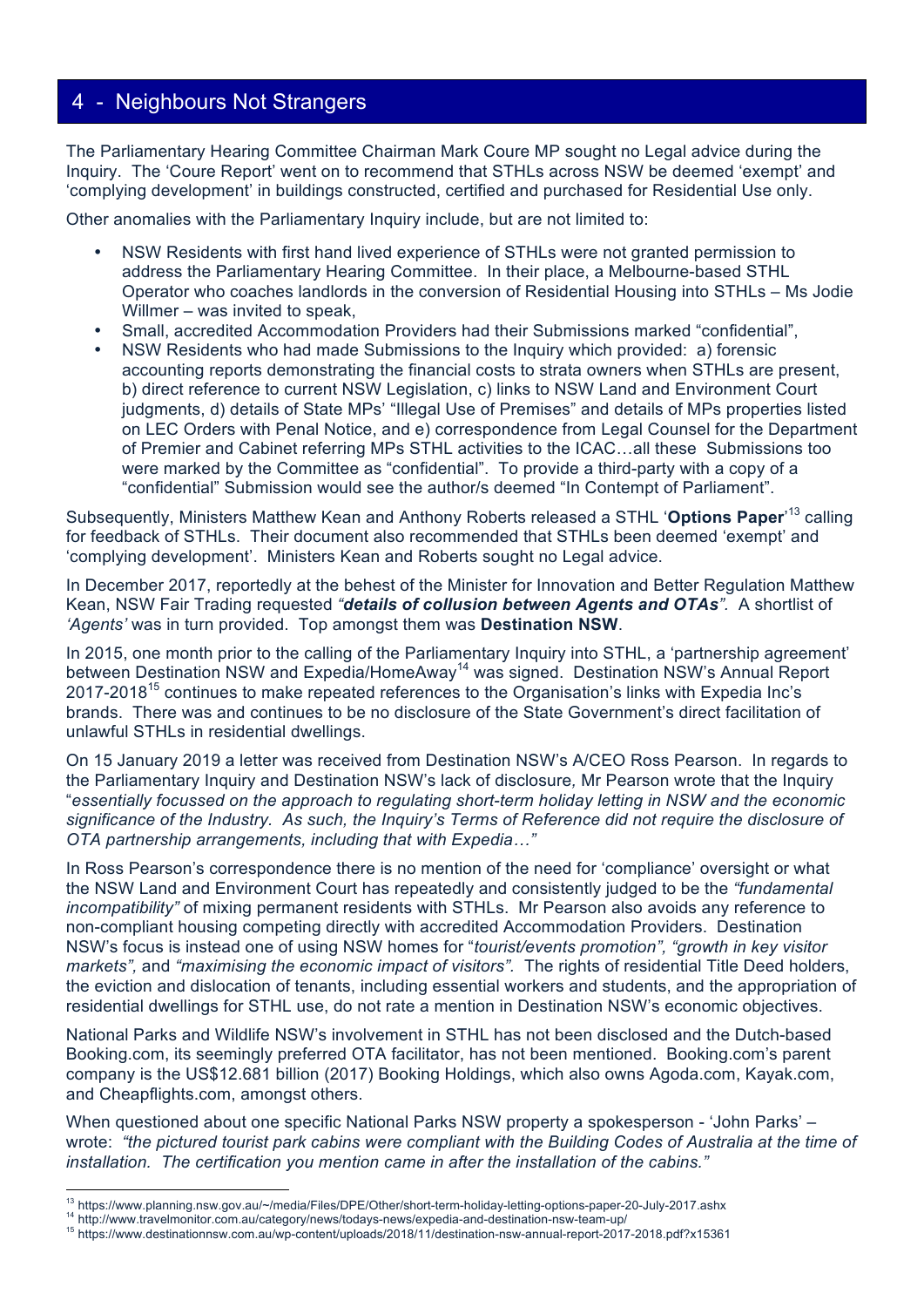The Parliamentary Hearing Committee Chairman Mark Coure MP sought no Legal advice during the Inquiry. The 'Coure Report' went on to recommend that STHLs across NSW be deemed 'exempt' and 'complying development' in buildings constructed, certified and purchased for Residential Use only.

Other anomalies with the Parliamentary Inquiry include, but are not limited to:

- NSW Residents with first hand lived experience of STHLs were not granted permission to address the Parliamentary Hearing Committee. In their place, a Melbourne-based STHL Operator who coaches landlords in the conversion of Residential Housing into STHLs – Ms Jodie Willmer – was invited to speak,
- Small, accredited Accommodation Providers had their Submissions marked "confidential",
- NSW Residents who had made Submissions to the Inquiry which provided: a) forensic accounting reports demonstrating the financial costs to strata owners when STHLs are present, b) direct reference to current NSW Legislation, c) links to NSW Land and Environment Court judgments, d) details of State MPs' "Illegal Use of Premises" and details of MPs properties listed on LEC Orders with Penal Notice, and e) correspondence from Legal Counsel for the Department of Premier and Cabinet referring MPs STHL activities to the ICAC…all these Submissions too were marked by the Committee as "confidential". To provide a third-party with a copy of a "confidential" Submission would see the author/s deemed "In Contempt of Parliament".

Subsequently, Ministers Matthew Kean and Anthony Roberts released a STHL '**Options Paper**' 13 calling for feedback of STHLs. Their document also recommended that STHLs been deemed 'exempt' and 'complying development'. Ministers Kean and Roberts sought no Legal advice.

In December 2017, reportedly at the behest of the Minister for Innovation and Better Regulation Matthew Kean, NSW Fair Trading requested *"details of collusion between Agents and OTAs".* A shortlist of *'Agents'* was in turn provided. Top amongst them was **Destination NSW**.

In 2015, one month prior to the calling of the Parliamentary Inquiry into STHL, a 'partnership agreement' between Destination NSW and Expedia/HomeAway<sup>14</sup> was signed. Destination NSW's Annual Report 2017-2018<sup>15</sup> continues to make repeated references to the Organisation's links with Expedia Inc's brands. There was and continues to be no disclosure of the State Government's direct facilitation of unlawful STHLs in residential dwellings.

On 15 January 2019 a letter was received from Destination NSW's A/CEO Ross Pearson. In regards to the Parliamentary Inquiry and Destination NSW's lack of disclosure*,* Mr Pearson wrote that the Inquiry "*essentially focussed on the approach to regulating short-term holiday letting in NSW and the economic significance of the Industry. As such, the Inquiry's Terms of Reference did not require the disclosure of OTA partnership arrangements, including that with Expedia…"*

In Ross Pearson's correspondence there is no mention of the need for 'compliance' oversight or what the NSW Land and Environment Court has repeatedly and consistently judged to be the *"fundamental incompatibility"* of mixing permanent residents with STHLs. Mr Pearson also avoids any reference to non-compliant housing competing directly with accredited Accommodation Providers. Destination NSW's focus is instead one of using NSW homes for "*tourist/events promotion", "growth in key visitor markets",* and *"maximising the economic impact of visitors".* The rights of residential Title Deed holders, the eviction and dislocation of tenants, including essential workers and students, and the appropriation of residential dwellings for STHL use, do not rate a mention in Destination NSW's economic objectives.

National Parks and Wildlife NSW's involvement in STHL has not been disclosed and the Dutch-based Booking.com, its seemingly preferred OTA facilitator, has not been mentioned. Booking.com's parent company is the US\$12.681 billion (2017) Booking Holdings, which also owns Agoda.com, Kayak.com, and Cheapflights.com, amongst others.

When questioned about one specific National Parks NSW property a spokesperson - 'John Parks' – wrote: *"the pictured tourist park cabins were compliant with the Building Codes of Australia at the time of installation. The certification you mention came in after the installation of the cabins."*

<sup>&</sup>lt;sup>13</sup> https://www.planning.nsw.gov.au/~/media/Files/DPE/Other/short-term-holiday-letting-options-paper-20-July-2017.ashx

<sup>14</sup> http://www.travelmonitor.com.au/category/news/todays-news/expedia-and-destination-nsw-team-up/<br><sup>15</sup> http://www.travelmonitor.com.au/category/news/todays-news/expedia-and-destination-nsw-team-up/<br><sup>15</sup> https://www.destina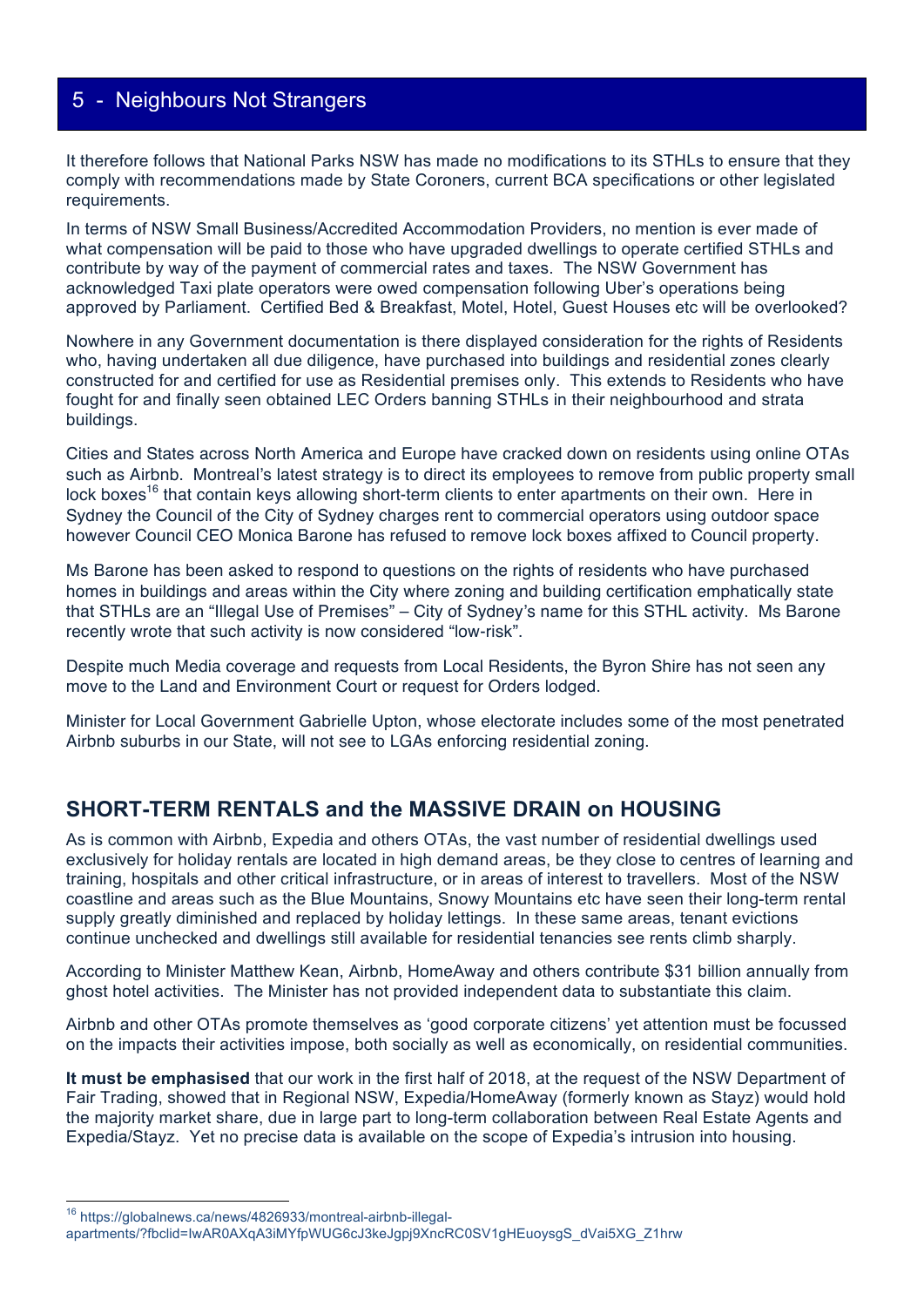It therefore follows that National Parks NSW has made no modifications to its STHLs to ensure that they comply with recommendations made by State Coroners, current BCA specifications or other legislated requirements.

In terms of NSW Small Business/Accredited Accommodation Providers, no mention is ever made of what compensation will be paid to those who have upgraded dwellings to operate certified STHLs and contribute by way of the payment of commercial rates and taxes. The NSW Government has acknowledged Taxi plate operators were owed compensation following Uber's operations being approved by Parliament. Certified Bed & Breakfast, Motel, Hotel, Guest Houses etc will be overlooked?

Nowhere in any Government documentation is there displayed consideration for the rights of Residents who, having undertaken all due diligence, have purchased into buildings and residential zones clearly constructed for and certified for use as Residential premises only. This extends to Residents who have fought for and finally seen obtained LEC Orders banning STHLs in their neighbourhood and strata buildings.

Cities and States across North America and Europe have cracked down on residents using online OTAs such as Airbnb. Montreal's latest strategy is to direct its employees to remove from public property small lock boxes<sup>16</sup> that contain keys allowing short-term clients to enter apartments on their own. Here in Sydney the Council of the City of Sydney charges rent to commercial operators using outdoor space however Council CEO Monica Barone has refused to remove lock boxes affixed to Council property.

Ms Barone has been asked to respond to questions on the rights of residents who have purchased homes in buildings and areas within the City where zoning and building certification emphatically state that STHLs are an "Illegal Use of Premises" – City of Sydney's name for this STHL activity. Ms Barone recently wrote that such activity is now considered "low-risk".

Despite much Media coverage and requests from Local Residents, the Byron Shire has not seen any move to the Land and Environment Court or request for Orders lodged.

Minister for Local Government Gabrielle Upton, whose electorate includes some of the most penetrated Airbnb suburbs in our State, will not see to LGAs enforcing residential zoning.

#### **SHORT-TERM RENTALS and the MASSIVE DRAIN on HOUSING**

As is common with Airbnb, Expedia and others OTAs, the vast number of residential dwellings used exclusively for holiday rentals are located in high demand areas, be they close to centres of learning and training, hospitals and other critical infrastructure, or in areas of interest to travellers. Most of the NSW coastline and areas such as the Blue Mountains, Snowy Mountains etc have seen their long-term rental supply greatly diminished and replaced by holiday lettings. In these same areas, tenant evictions continue unchecked and dwellings still available for residential tenancies see rents climb sharply.

According to Minister Matthew Kean, Airbnb, HomeAway and others contribute \$31 billion annually from ghost hotel activities. The Minister has not provided independent data to substantiate this claim.

Airbnb and other OTAs promote themselves as 'good corporate citizens' yet attention must be focussed on the impacts their activities impose, both socially as well as economically, on residential communities.

**It must be emphasised** that our work in the first half of 2018, at the request of the NSW Department of Fair Trading, showed that in Regional NSW, Expedia/HomeAway (formerly known as Stayz) would hold the majority market share, due in large part to long-term collaboration between Real Estate Agents and Expedia/Stayz. Yet no precise data is available on the scope of Expedia's intrusion into housing.

 16 https://globalnews.ca/news/4826933/montreal-airbnb-illegalapartments/?fbclid=IwAR0AXqA3iMYfpWUG6cJ3keJgpj9XncRC0SV1gHEuoysgS\_dVai5XG\_Z1hrw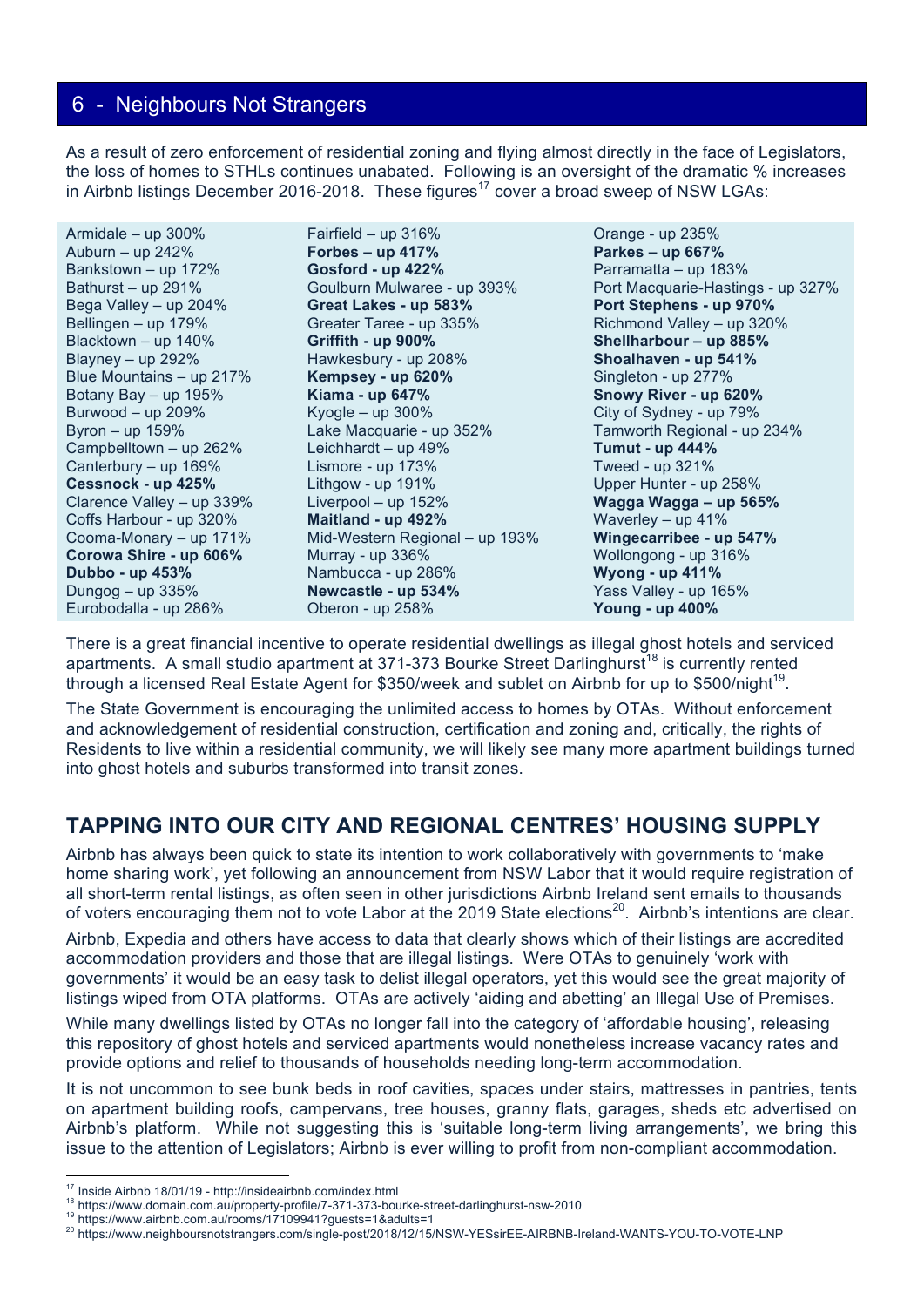As a result of zero enforcement of residential zoning and flying almost directly in the face of Legislators, the loss of homes to STHLs continues unabated. Following is an oversight of the dramatic % increases in Airbnb listings December 2016-2018. These figures<sup>17</sup> cover a broad sweep of NSW LGAs:

| Fairfield - up 316%            | Orange - up 235%                  |
|--------------------------------|-----------------------------------|
| Forbes – up $417%$             | Parkes - up 667%                  |
| Gosford - up 422%              | Parramatta - up 183%              |
| Goulburn Mulwaree - up 393%    | Port Macquarie-Hastings - up 327% |
| Great Lakes - up 583%          | Port Stephens - up 970%           |
| Greater Taree - up 335%        | Richmond Valley - up 320%         |
| Griffith - up 900%             | Shellharbour - up 885%            |
| Hawkesbury - up 208%           | Shoalhaven - up 541%              |
| Kempsey - up 620%              | Singleton - up 277%               |
| <b>Kiama - up 647%</b>         | Snowy River - up 620%             |
| Kyogle $-$ up 300%             | City of Sydney - up 79%           |
| Lake Macquarie - up 352%       | Tamworth Regional - up 234%       |
| Leichhardt - up $49\%$         | <b>Tumut - up 444%</b>            |
| Lismore - up 173%              | Tweed - up 321%                   |
| Lithgow - up $191\%$           | Upper Hunter - up 258%            |
| Liverpool $-$ up 152%          | Wagga Wagga - up 565%             |
| Maitland - up 492%             | Waverley $-$ up 41%               |
| Mid-Western Regional - up 193% | Wingecarribee - up 547%           |
| Murray - up 336%               | Wollongong - up 316%              |
| Nambucca - up 286%             | <b>Wyong - up 411%</b>            |
| Newcastle - up 534%            | Yass Valley - up 165%             |
| Oberon - up 258%               | <b>Young - up 400%</b>            |
|                                |                                   |

There is a great financial incentive to operate residential dwellings as illegal ghost hotels and serviced apartments. A small studio apartment at 371-373 Bourke Street Darlinghurst<sup>18</sup> is currently rented through a licensed Real Estate Agent for \$350/week and sublet on Airbnb for up to \$500/night<sup>19</sup>.

The State Government is encouraging the unlimited access to homes by OTAs. Without enforcement and acknowledgement of residential construction, certification and zoning and, critically, the rights of Residents to live within a residential community, we will likely see many more apartment buildings turned into ghost hotels and suburbs transformed into transit zones.

# **TAPPING INTO OUR CITY AND REGIONAL CENTRES' HOUSING SUPPLY**

Airbnb has always been quick to state its intention to work collaboratively with governments to 'make home sharing work', yet following an announcement from NSW Labor that it would require registration of all short-term rental listings, as often seen in other jurisdictions Airbnb Ireland sent emails to thousands of voters encouraging them not to vote Labor at the 2019 State elections<sup>20</sup>. Airbnb's intentions are clear.

Airbnb, Expedia and others have access to data that clearly shows which of their listings are accredited accommodation providers and those that are illegal listings. Were OTAs to genuinely 'work with governments' it would be an easy task to delist illegal operators, yet this would see the great majority of listings wiped from OTA platforms. OTAs are actively 'aiding and abetting' an Illegal Use of Premises.

While many dwellings listed by OTAs no longer fall into the category of 'affordable housing', releasing this repository of ghost hotels and serviced apartments would nonetheless increase vacancy rates and provide options and relief to thousands of households needing long-term accommodation.

It is not uncommon to see bunk beds in roof cavities, spaces under stairs, mattresses in pantries, tents on apartment building roofs, campervans, tree houses, granny flats, garages, sheds etc advertised on Airbnb's platform. While not suggesting this is 'suitable long-term living arrangements', we bring this issue to the attention of Legislators; Airbnb is ever willing to profit from non-compliant accommodation.

<sup>&</sup>lt;sup>17</sup> Inside Airbnb 18/01/19 - http://insideairbnb.com/index.html

<sup>&</sup>lt;sup>18</sup><br>https://www.domain.com.au/rooms/17109941?guests=1&adults=1<br><sup>19</sup> https://www.airbnb.com.au/rooms/17109941?guests=1&adults=1<br><sup>20</sup> https://www.neighboursnotstrangers.com/single-post/2018/12/15/NSW-YESsirEE-AIRBNB-Ireland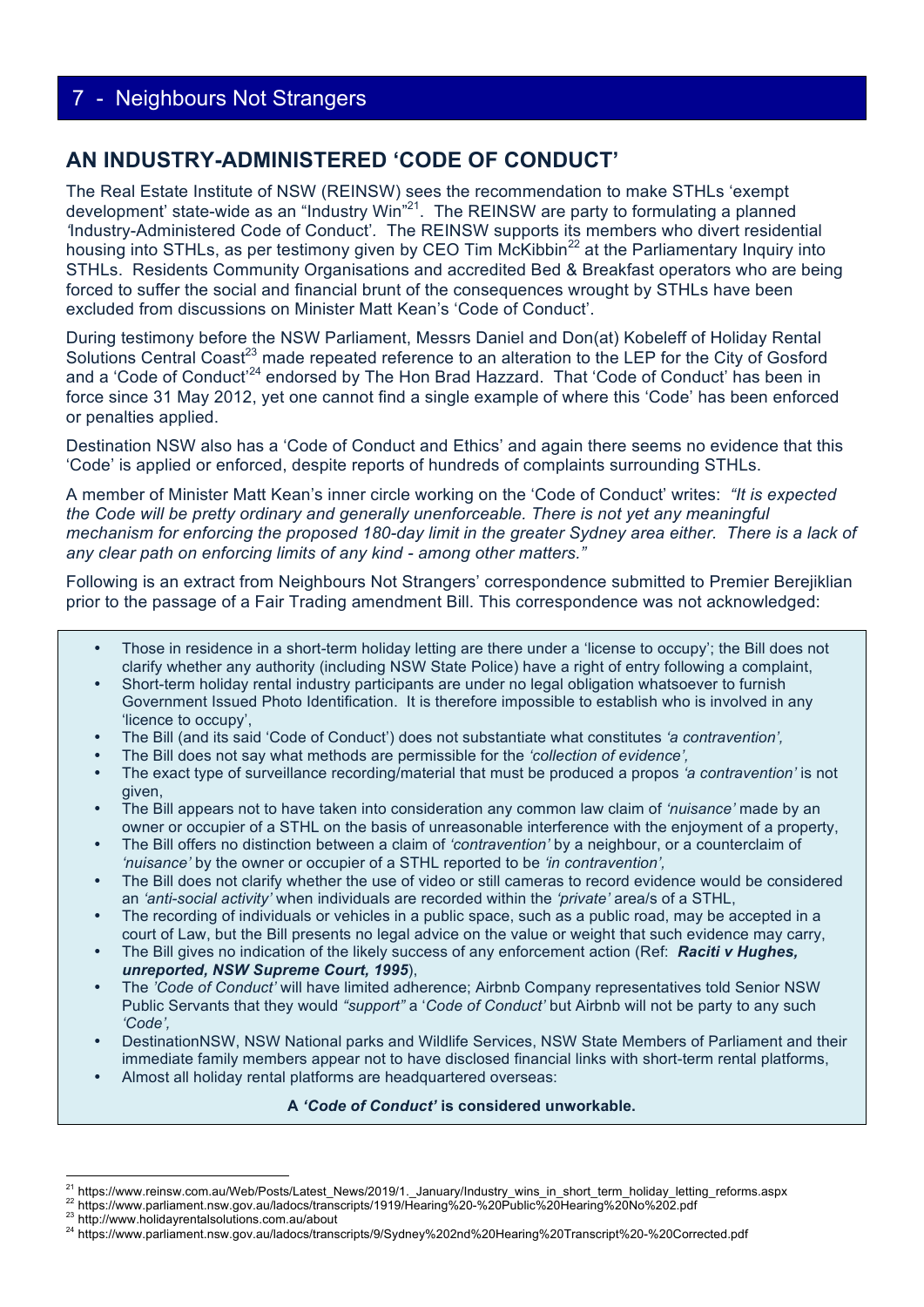## **AN INDUSTRY-ADMINISTERED 'CODE OF CONDUCT'**

The Real Estate Institute of NSW (REINSW) sees the recommendation to make STHLs 'exempt development' state-wide as an "Industry Win"<sup>21</sup>. The REINSW are party to formulating a planned *'*Industry-Administered Code of Conduct'*.* The REINSW supports its members who divert residential housing into STHLs, as per testimony given by CEO Tim McKibbin<sup>22</sup> at the Parliamentary Inquiry into STHLs. Residents Community Organisations and accredited Bed & Breakfast operators who are being forced to suffer the social and financial brunt of the consequences wrought by STHLs have been excluded from discussions on Minister Matt Kean's 'Code of Conduct'.

During testimony before the NSW Parliament, Messrs Daniel and Don(at) Kobeleff of Holiday Rental Solutions Central Coast<sup>23</sup> made repeated reference to an alteration to the LEP for the City of Gosford and a 'Code of Conduct'<sup>24</sup> endorsed by The Hon Brad Hazzard. That 'Code of Conduct' has been in force since 31 May 2012, yet one cannot find a single example of where this 'Code' has been enforced or penalties applied.

Destination NSW also has a 'Code of Conduct and Ethics' and again there seems no evidence that this 'Code' is applied or enforced, despite reports of hundreds of complaints surrounding STHLs.

A member of Minister Matt Kean's inner circle working on the 'Code of Conduct' writes: *"It is expected the Code will be pretty ordinary and generally unenforceable. There is not yet any meaningful mechanism for enforcing the proposed 180-day limit in the greater Sydney area either. There is a lack of any clear path on enforcing limits of any kind - among other matters."*

Following is an extract from Neighbours Not Strangers' correspondence submitted to Premier Berejiklian prior to the passage of a Fair Trading amendment Bill. This correspondence was not acknowledged:

- Those in residence in a short-term holiday letting are there under a 'license to occupy'; the Bill does not clarify whether any authority (including NSW State Police) have a right of entry following a complaint,
- Short-term holiday rental industry participants are under no legal obligation whatsoever to furnish Government Issued Photo Identification. It is therefore impossible to establish who is involved in any 'licence to occupy',
- The Bill (and its said 'Code of Conduct') does not substantiate what constitutes *'a contravention',*
- The Bill does not say what methods are permissible for the *'collection of evidence',*
- The exact type of surveillance recording/material that must be produced a propos *'a contravention'* is not given,
- The Bill appears not to have taken into consideration any common law claim of *'nuisance'* made by an owner or occupier of a STHL on the basis of unreasonable interference with the enjoyment of a property,
- The Bill offers no distinction between a claim of *'contravention'* by a neighbour, or a counterclaim of *'nuisance'* by the owner or occupier of a STHL reported to be *'in contravention',*
- The Bill does not clarify whether the use of video or still cameras to record evidence would be considered an *'anti-social activity'* when individuals are recorded within the *'private'* area/s of a STHL,
- The recording of individuals or vehicles in a public space, such as a public road, may be accepted in a court of Law, but the Bill presents no legal advice on the value or weight that such evidence may carry,
- The Bill gives no indication of the likely success of any enforcement action (Ref: *Raciti v Hughes, unreported, NSW Supreme Court, 1995*),
- The *'Code of Conduct'* will have limited adherence; Airbnb Company representatives told Senior NSW Public Servants that they would *"support"* a '*Code of Conduct'* but Airbnb will not be party to any such *'Code',*
- DestinationNSW, NSW National parks and Wildlife Services, NSW State Members of Parliament and their immediate family members appear not to have disclosed financial links with short-term rental platforms,
- Almost all holiday rental platforms are headquartered overseas:

**A** *'Code of Conduct'* **is considered unworkable.**

<sup>&</sup>lt;sup>21</sup> https://www.reinsw.com.au/Web/Posts/Latest News/2019/1.\_January/Industry\_wins\_in\_short\_term\_holiday\_letting\_reforms.aspx

<sup>22</sup> https://www.parliament.nsw.gov.au/ladocs/transcripts/1919/Hearing%20-%20Public%20Hearing%20No%202.pdf<br>23 http://www.holidayrentalsolutions.com.au/about<br><sup>24</sup> https://www.parliament.nsw.gov.au/ladocs/transcripts/9/Sydney%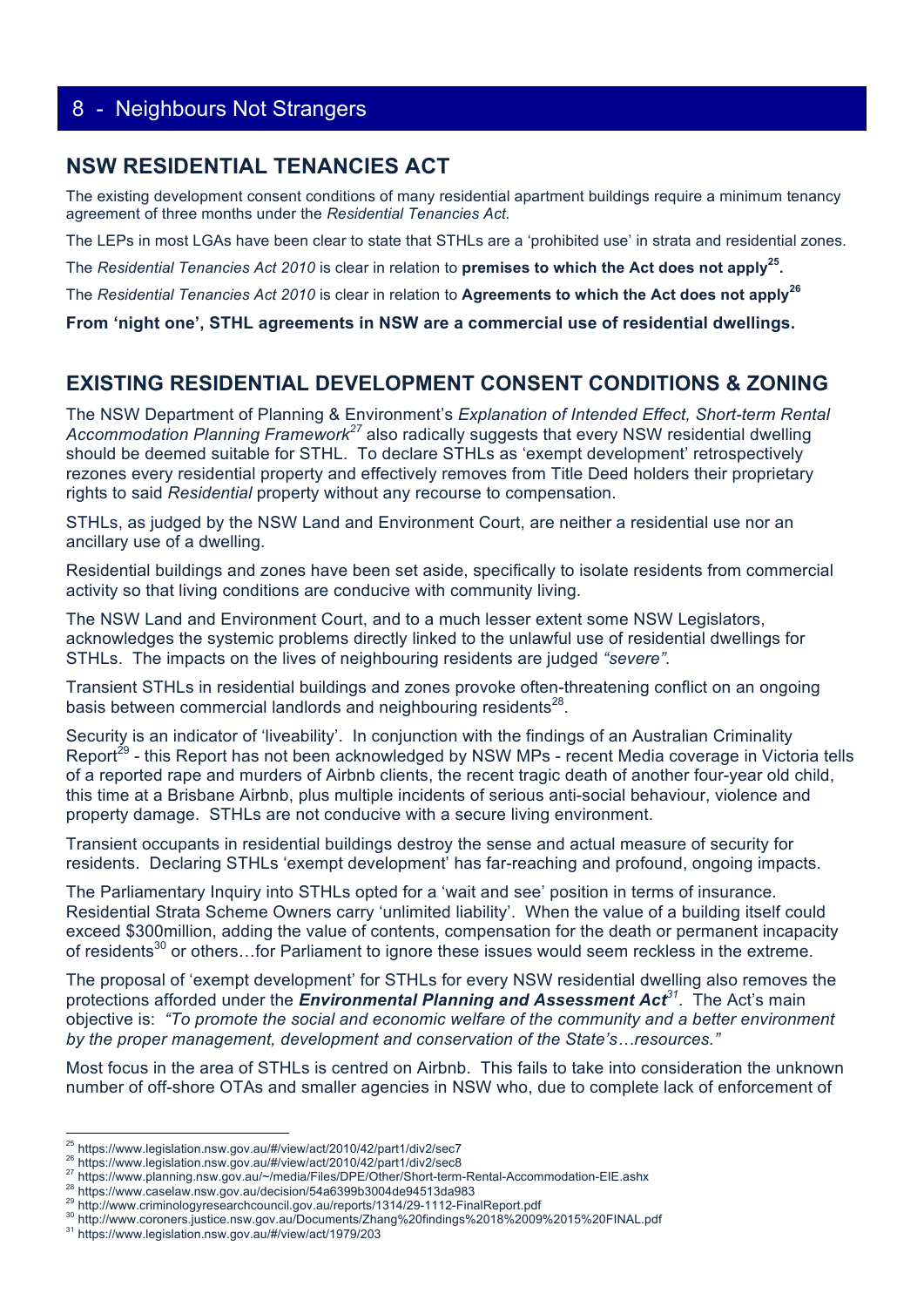#### **NSW RESIDENTIAL TENANCIES ACT**

The existing development consent conditions of many residential apartment buildings require a minimum tenancy agreement of three months under the *Residential Tenancies Act.*

The LEPs in most LGAs have been clear to state that STHLs are a 'prohibited use' in strata and residential zones.

The *Residential Tenancies Act 2010* is clear in relation to **premises to which the Act does not apply25.**

The *Residential Tenancies Act 2010* is clear in relation to **Agreements to which the Act does not apply<sup>26</sup>**

**From 'night one', STHL agreements in NSW are a commercial use of residential dwellings.**

#### **EXISTING RESIDENTIAL DEVELOPMENT CONSENT CONDITIONS & ZONING**

The NSW Department of Planning & Environment's *Explanation of Intended Effect, Short-term Rental Accommodation Planning Framework<sup>27</sup>* also radically suggests that every NSW residential dwelling should be deemed suitable for STHL. To declare STHLs as 'exempt development' retrospectively rezones every residential property and effectively removes from Title Deed holders their proprietary rights to said *Residential* property without any recourse to compensation.

STHLs, as judged by the NSW Land and Environment Court, are neither a residential use nor an ancillary use of a dwelling.

Residential buildings and zones have been set aside, specifically to isolate residents from commercial activity so that living conditions are conducive with community living.

The NSW Land and Environment Court, and to a much lesser extent some NSW Legislators, acknowledges the systemic problems directly linked to the unlawful use of residential dwellings for STHLs. The impacts on the lives of neighbouring residents are judged *"severe".*

Transient STHLs in residential buildings and zones provoke often-threatening conflict on an ongoing basis between commercial landlords and neighbouring residents<sup>28</sup>.

Security is an indicator of 'liveability'. In conjunction with the findings of an Australian Criminality Report<sup>29</sup> - this Report has not been acknowledged by NSW MPs - recent Media coverage in Victoria tells of a reported rape and murders of Airbnb clients, the recent tragic death of another four-year old child, this time at a Brisbane Airbnb, plus multiple incidents of serious anti-social behaviour, violence and property damage. STHLs are not conducive with a secure living environment.

Transient occupants in residential buildings destroy the sense and actual measure of security for residents. Declaring STHLs 'exempt development' has far-reaching and profound, ongoing impacts.

The Parliamentary Inquiry into STHLs opted for a 'wait and see' position in terms of insurance. Residential Strata Scheme Owners carry 'unlimited liability'. When the value of a building itself could exceed \$300million, adding the value of contents, compensation for the death or permanent incapacity of residents<sup>30</sup> or others...for Parliament to ignore these issues would seem reckless in the extreme.

The proposal of 'exempt development' for STHLs for every NSW residential dwelling also removes the protections afforded under the *Environmental Planning and Assessment Act<sup>31</sup>*. The Act's main objective is: *"To promote the social and economic welfare of the community and a better environment by the proper management, development and conservation of the State's…resources."*

Most focus in the area of STHLs is centred on Airbnb. This fails to take into consideration the unknown number of off-shore OTAs and smaller agencies in NSW who, due to complete lack of enforcement of

 

<sup>&</sup>lt;sup>25</sup> https://www.legislation.nsw.gov.au/#/view/act/2010/42/part1/div2/sec7<br>
<sup>26</sup> https://www.legislation.nsw.gov.au/#/view/act/2010/42/part1/div2/sec8<br>
<sup>27</sup> https://www.planning.nsw.gov.au/~/media/Files/DPE/Other/Short-te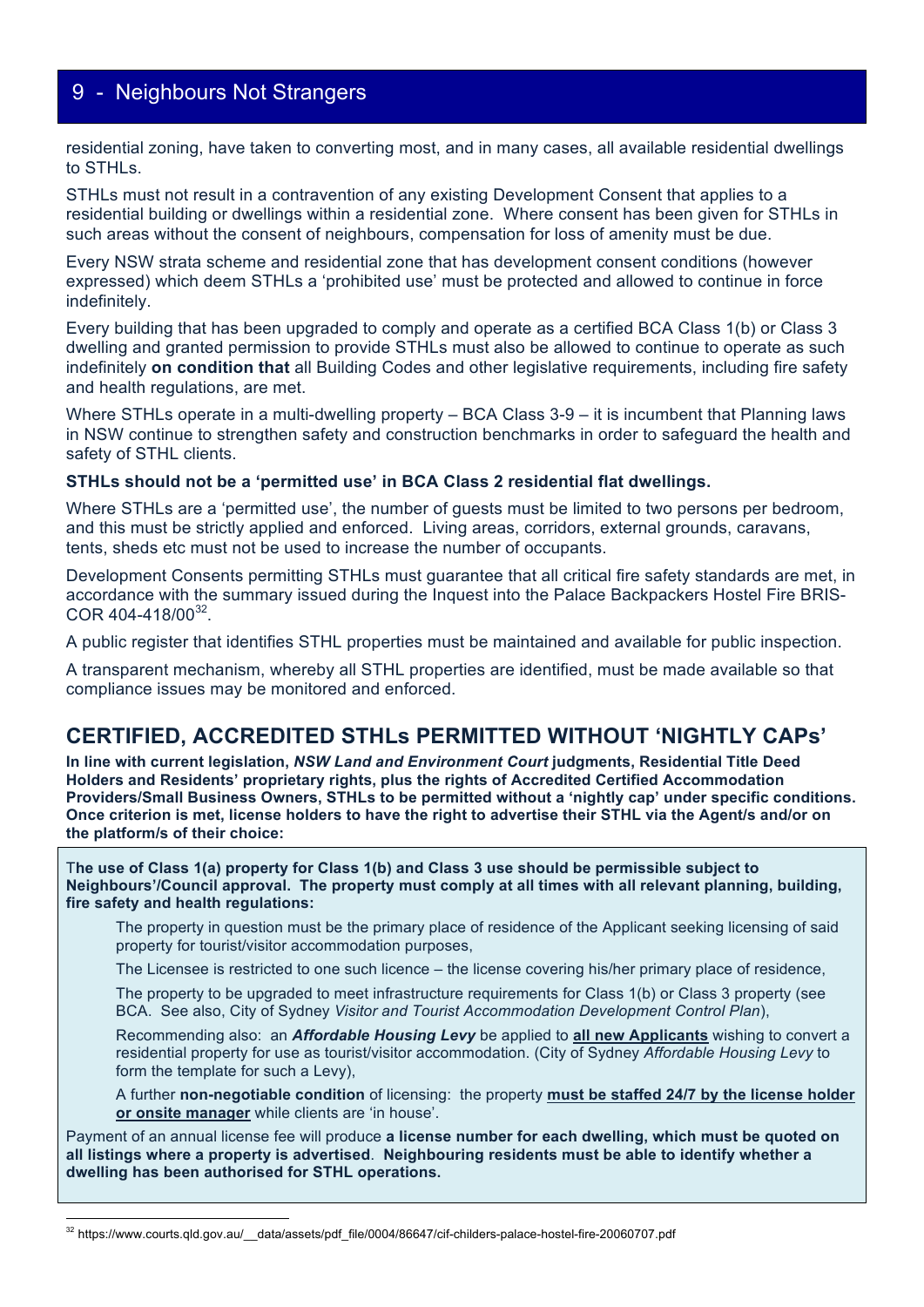residential zoning, have taken to converting most, and in many cases, all available residential dwellings to STHLs.

STHLs must not result in a contravention of any existing Development Consent that applies to a residential building or dwellings within a residential zone. Where consent has been given for STHLs in such areas without the consent of neighbours, compensation for loss of amenity must be due.

Every NSW strata scheme and residential zone that has development consent conditions (however expressed) which deem STHLs a 'prohibited use' must be protected and allowed to continue in force indefinitely.

Every building that has been upgraded to comply and operate as a certified BCA Class 1(b) or Class 3 dwelling and granted permission to provide STHLs must also be allowed to continue to operate as such indefinitely **on condition that** all Building Codes and other legislative requirements, including fire safety and health regulations, are met.

Where STHLs operate in a multi-dwelling property – BCA Class 3-9 – it is incumbent that Planning laws in NSW continue to strengthen safety and construction benchmarks in order to safeguard the health and safety of STHL clients.

#### **STHLs should not be a 'permitted use' in BCA Class 2 residential flat dwellings.**

Where STHLs are a 'permitted use', the number of guests must be limited to two persons per bedroom, and this must be strictly applied and enforced. Living areas, corridors, external grounds, caravans, tents, sheds etc must not be used to increase the number of occupants.

Development Consents permitting STHLs must guarantee that all critical fire safety standards are met, in accordance with the summary issued during the Inquest into the Palace Backpackers Hostel Fire BRIS-COR 404-418/00<sup>32</sup>.

A public register that identifies STHL properties must be maintained and available for public inspection.

A transparent mechanism, whereby all STHL properties are identified, must be made available so that compliance issues may be monitored and enforced.

#### **CERTIFIED, ACCREDITED STHLs PERMITTED WITHOUT 'NIGHTLY CAPs'**

**In line with current legislation,** *NSW Land and Environment Court* **judgments, Residential Title Deed Holders and Residents' proprietary rights, plus the rights of Accredited Certified Accommodation Providers/Small Business Owners, STHLs to be permitted without a 'nightly cap' under specific conditions. Once criterion is met, license holders to have the right to advertise their STHL via the Agent/s and/or on the platform/s of their choice:**

T**he use of Class 1(a) property for Class 1(b) and Class 3 use should be permissible subject to Neighbours'/Council approval. The property must comply at all times with all relevant planning, building, fire safety and health regulations:**

The property in question must be the primary place of residence of the Applicant seeking licensing of said property for tourist/visitor accommodation purposes,

The Licensee is restricted to one such licence – the license covering his/her primary place of residence,

The property to be upgraded to meet infrastructure requirements for Class 1(b) or Class 3 property (see BCA. See also, City of Sydney *Visitor and Tourist Accommodation Development Control Plan*),

Recommending also: an *Affordable Housing Levy* be applied to **all new Applicants** wishing to convert a residential property for use as tourist/visitor accommodation. (City of Sydney *Affordable Housing Levy* to form the template for such a Levy),

A further **non-negotiable condition** of licensing: the property **must be staffed 24/7 by the license holder or onsite manager** while clients are 'in house'.

Payment of an annual license fee will produce **a license number for each dwelling, which must be quoted on all listings where a property is advertised**. **Neighbouring residents must be able to identify whether a dwelling has been authorised for STHL operations.**

 

<sup>32</sup> https://www.courts.qld.gov.au/ data/assets/pdf file/0004/86647/cif-childers-palace-hostel-fire-20060707.pdf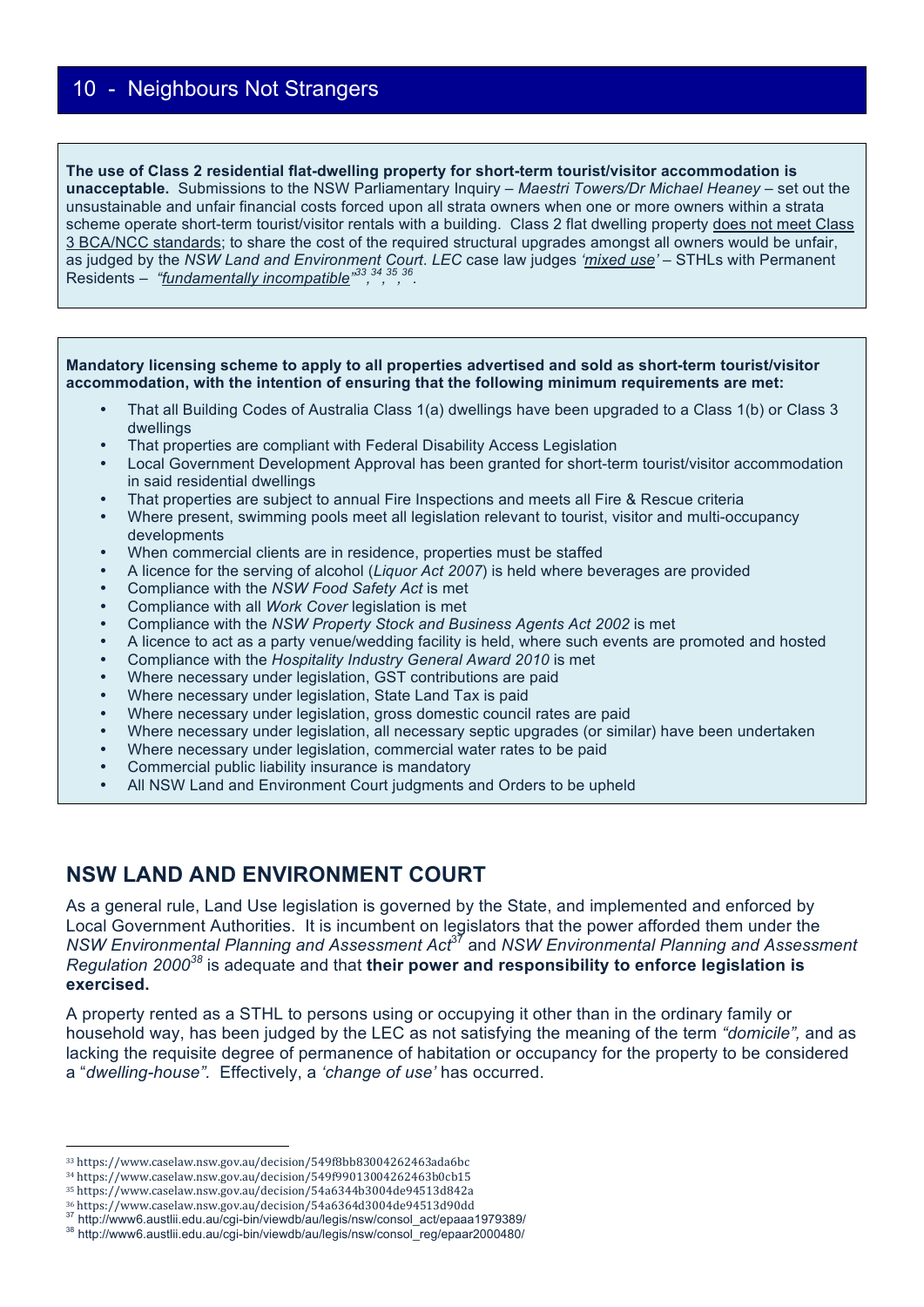#### **The use of Class 2 residential flat-dwelling property for short-term tourist/visitor accommodation is unacceptable.** Submissions to the NSW Parliamentary Inquiry – *Maestri Towers/Dr Michael Heaney* – set out the unsustainable and unfair financial costs forced upon all strata owners when one or more owners within a strata scheme operate short-term tourist/visitor rentals with a building. Class 2 flat dwelling property does not meet Class 3 BCA/NCC standards; to share the cost of the required structural upgrades amongst all owners would be unfair, as judged by the *NSW Land and Environment Court*. *LEC* case law judges *'mixed use'* – STHLs with Permanent Residents – *"fundamentally incompatible" 33, 34, 35, 36.*

#### **Mandatory licensing scheme to apply to all properties advertised and sold as short-term tourist/visitor accommodation, with the intention of ensuring that the following minimum requirements are met:**

- That all Building Codes of Australia Class 1(a) dwellings have been upgraded to a Class 1(b) or Class 3 dwellings
- That properties are compliant with Federal Disability Access Legislation
- Local Government Development Approval has been granted for short-term tourist/visitor accommodation in said residential dwellings
- That properties are subject to annual Fire Inspections and meets all Fire & Rescue criteria
- Where present, swimming pools meet all legislation relevant to tourist, visitor and multi-occupancy developments
- When commercial clients are in residence, properties must be staffed
- A licence for the serving of alcohol (*Liquor Act 2007*) is held where beverages are provided
- Compliance with the *NSW Food Safety Act* is met
- Compliance with all *Work Cover* legislation is met
- Compliance with the *NSW Property Stock and Business Agents Act 2002* is met
- A licence to act as a party venue/wedding facility is held, where such events are promoted and hosted
- Compliance with the *Hospitality Industry General Award 2010* is met
- Where necessary under legislation, GST contributions are paid
- Where necessary under legislation, State Land Tax is paid
- Where necessary under legislation, gross domestic council rates are paid
- Where necessary under legislation, all necessary septic upgrades (or similar) have been undertaken
- Where necessary under legislation, commercial water rates to be paid
- Commercial public liability insurance is mandatory
- All NSW Land and Environment Court judgments and Orders to be upheld

#### **NSW LAND AND ENVIRONMENT COURT**

As a general rule, Land Use legislation is governed by the State, and implemented and enforced by Local Government Authorities. It is incumbent on legislators that the power afforded them under the *NSW Environmental Planning and Assessment Act*37 and *NSW Environmental Planning and Assessment Regulation 2000<sup>38</sup>* is adequate and that **their power and responsibility to enforce legislation is exercised.**

A property rented as a STHL to persons using or occupying it other than in the ordinary family or household way, has been judged by the LEC as not satisfying the meaning of the term *"domicile",* and as lacking the requisite degree of permanence of habitation or occupancy for the property to be considered a "*dwelling-house".* Effectively, a *'change of use'* has occurred.

 

<sup>33</sup> https://www.caselaw.nsw.gov.au/decision/549f8bb83004262463ada6bc

<sup>34</sup> https://www.caselaw.nsw.gov.au/decision/549f99013004262463b0cb15

 $^{35}$ https://www.caselaw.nsw.gov.au/decision/54a6344b3004de94513d842a

<sup>&</sup>lt;sup>36</sup> https://www.caselaw.nsw.gov.au/decision/54a6364d3004de94513d90dd<br><sup>37</sup> http://www6.austlii.edu.au/cgi-bin/viewdb/au/legis/nsw/consol\_act/epaaa1979389/<br><sup>38</sup> http://www6.austlii.edu.au/cgi-bin/viewdb/au/legis/nsw/consol\_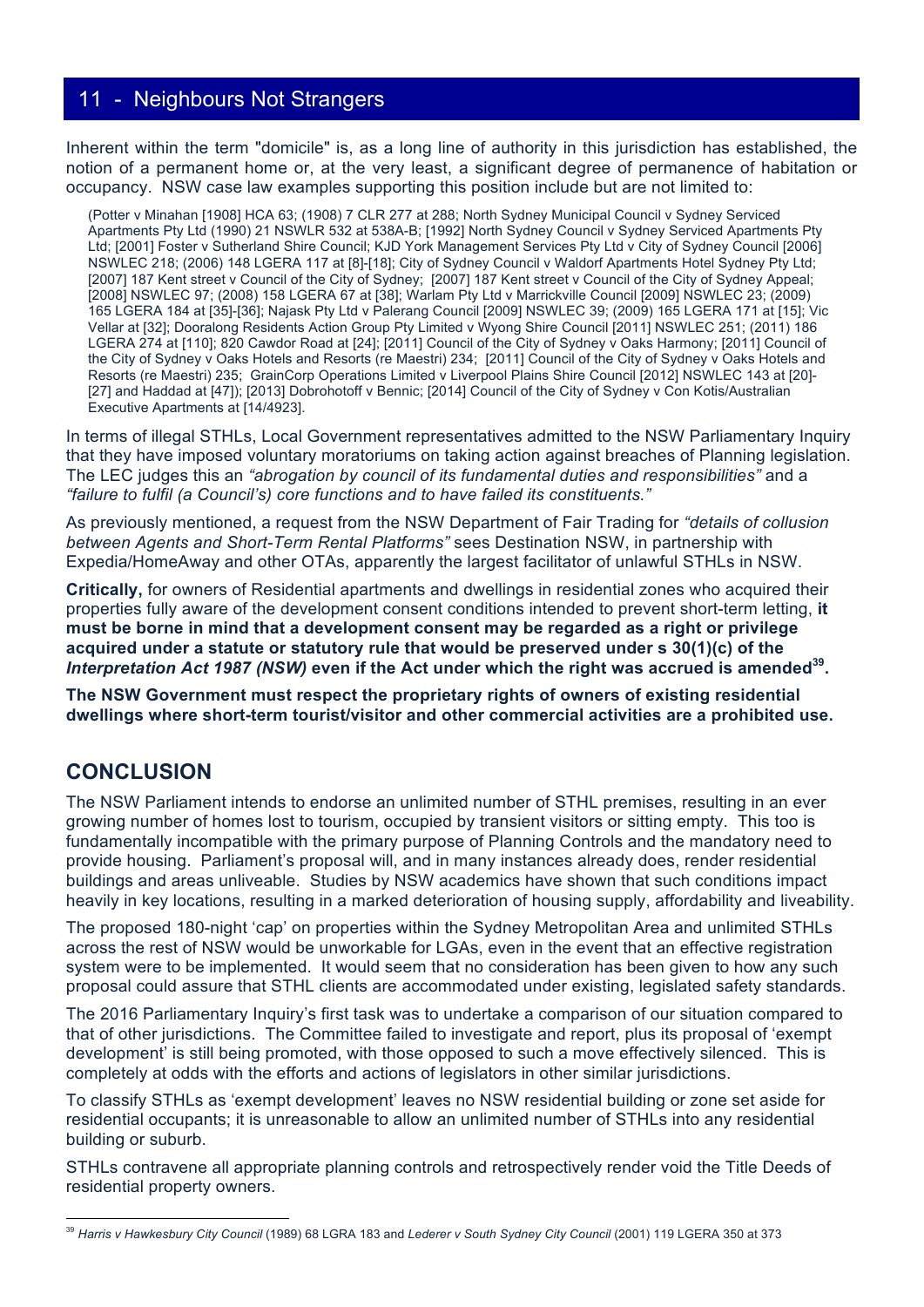Inherent within the term "domicile" is, as a long line of authority in this jurisdiction has established, the notion of a permanent home or, at the very least, a significant degree of permanence of habitation or occupancy. NSW case law examples supporting this position include but are not limited to:

(Potter v Minahan [1908] HCA 63; (1908) 7 CLR 277 at 288; North Sydney Municipal Council v Sydney Serviced Apartments Pty Ltd (1990) 21 NSWLR 532 at 538A-B; [1992] North Sydney Council v Sydney Serviced Apartments Pty Ltd; [2001] Foster v Sutherland Shire Council; KJD York Management Services Pty Ltd v City of Sydney Council [2006] NSWLEC 218; (2006) 148 LGERA 117 at [8]-[18]; City of Sydney Council v Waldorf Apartments Hotel Sydney Pty Ltd; [2007] 187 Kent street v Council of the City of Sydney; [2007] 187 Kent street v Council of the City of Sydney Appeal; [2008] NSWLEC 97; (2008) 158 LGERA 67 at [38]; Warlam Pty Ltd v Marrickville Council [2009] NSWLEC 23; (2009) 165 LGERA 184 at [35]-[36]; Najask Pty Ltd v Palerang Council [2009] NSWLEC 39; (2009) 165 LGERA 171 at [15]; Vic Vellar at [32]; Dooralong Residents Action Group Pty Limited v Wyong Shire Council [2011] NSWLEC 251; (2011) 186 LGERA 274 at [110]; 820 Cawdor Road at [24]; [2011] Council of the City of Sydney v Oaks Harmony; [2011] Council of the City of Sydney v Oaks Hotels and Resorts (re Maestri) 234; [2011] Council of the City of Sydney v Oaks Hotels and Resorts (re Maestri) 235; GrainCorp Operations Limited v Liverpool Plains Shire Council [2012] NSWLEC 143 at [20]- [27] and Haddad at [47]); [2013] Dobrohotoff v Bennic; [2014] Council of the City of Sydney v Con Kotis/Australian Executive Apartments at [14/4923].

In terms of illegal STHLs, Local Government representatives admitted to the NSW Parliamentary Inquiry that they have imposed voluntary moratoriums on taking action against breaches of Planning legislation. The LEC judges this an *"abrogation by council of its fundamental duties and responsibilities"* and a *"failure to fulfil (a Council's) core functions and to have failed its constituents."*

As previously mentioned, a request from the NSW Department of Fair Trading for *"details of collusion between Agents and Short-Term Rental Platforms"* sees Destination NSW, in partnership with Expedia/HomeAway and other OTAs, apparently the largest facilitator of unlawful STHLs in NSW.

**Critically,** for owners of Residential apartments and dwellings in residential zones who acquired their properties fully aware of the development consent conditions intended to prevent short-term letting, **it must be borne in mind that a development consent may be regarded as a right or privilege acquired under a statute or statutory rule that would be preserved under s 30(1)(c) of the**  *Interpretation Act 1987 (NSW)* even if the Act under which the right was accrued is amended<sup>39</sup>.

**The NSW Government must respect the proprietary rights of owners of existing residential dwellings where short-term tourist/visitor and other commercial activities are a prohibited use.**

## **CONCLUSION**

The NSW Parliament intends to endorse an unlimited number of STHL premises, resulting in an ever growing number of homes lost to tourism, occupied by transient visitors or sitting empty. This too is fundamentally incompatible with the primary purpose of Planning Controls and the mandatory need to provide housing. Parliament's proposal will, and in many instances already does, render residential buildings and areas unliveable. Studies by NSW academics have shown that such conditions impact heavily in key locations, resulting in a marked deterioration of housing supply, affordability and liveability.

The proposed 180-night 'cap' on properties within the Sydney Metropolitan Area and unlimited STHLs across the rest of NSW would be unworkable for LGAs, even in the event that an effective registration system were to be implemented. It would seem that no consideration has been given to how any such proposal could assure that STHL clients are accommodated under existing, legislated safety standards.

The 2016 Parliamentary Inquiry's first task was to undertake a comparison of our situation compared to that of other jurisdictions. The Committee failed to investigate and report, plus its proposal of 'exempt development' is still being promoted, with those opposed to such a move effectively silenced. This is completely at odds with the efforts and actions of legislators in other similar jurisdictions.

To classify STHLs as 'exempt development' leaves no NSW residential building or zone set aside for residential occupants; it is unreasonable to allow an unlimited number of STHLs into any residential building or suburb.

STHLs contravene all appropriate planning controls and retrospectively render void the Title Deeds of residential property owners.

 <sup>39</sup> *Harris v Hawkesbury City Council* (1989) 68 LGRA 183 and *Lederer v South Sydney City Council* (2001) 119 LGERA 350 at 373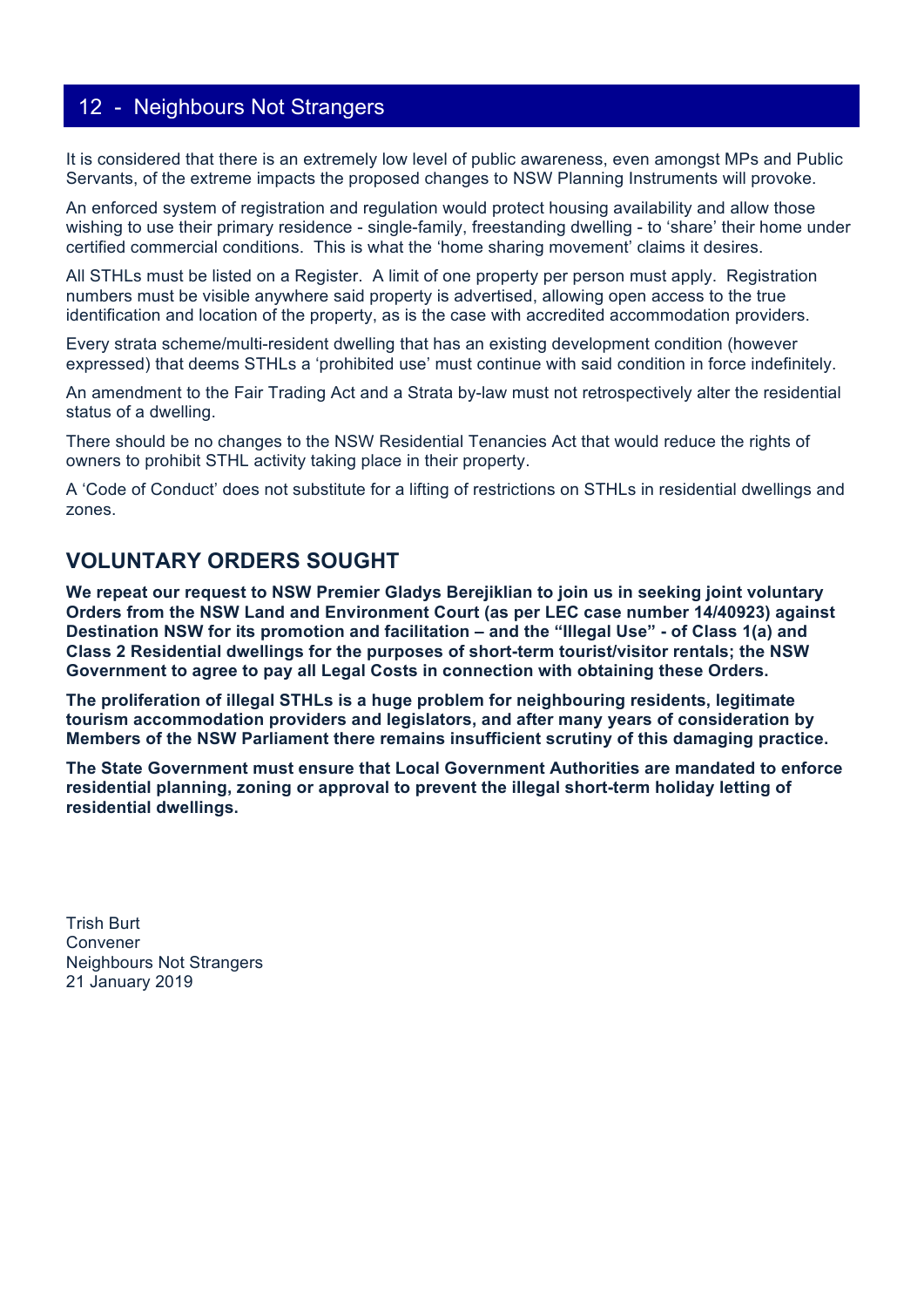It is considered that there is an extremely low level of public awareness, even amongst MPs and Public Servants, of the extreme impacts the proposed changes to NSW Planning Instruments will provoke.

An enforced system of registration and regulation would protect housing availability and allow those wishing to use their primary residence - single-family, freestanding dwelling - to 'share' their home under certified commercial conditions. This is what the 'home sharing movement' claims it desires.

All STHLs must be listed on a Register. A limit of one property per person must apply. Registration numbers must be visible anywhere said property is advertised, allowing open access to the true identification and location of the property, as is the case with accredited accommodation providers.

Every strata scheme/multi-resident dwelling that has an existing development condition (however expressed) that deems STHLs a 'prohibited use' must continue with said condition in force indefinitely.

An amendment to the Fair Trading Act and a Strata by-law must not retrospectively alter the residential status of a dwelling.

There should be no changes to the NSW Residential Tenancies Act that would reduce the rights of owners to prohibit STHL activity taking place in their property.

A 'Code of Conduct' does not substitute for a lifting of restrictions on STHLs in residential dwellings and zones.

### **VOLUNTARY ORDERS SOUGHT**

**We repeat our request to NSW Premier Gladys Berejiklian to join us in seeking joint voluntary Orders from the NSW Land and Environment Court (as per LEC case number 14/40923) against Destination NSW for its promotion and facilitation – and the "Illegal Use" - of Class 1(a) and Class 2 Residential dwellings for the purposes of short-term tourist/visitor rentals; the NSW Government to agree to pay all Legal Costs in connection with obtaining these Orders.**

**The proliferation of illegal STHLs is a huge problem for neighbouring residents, legitimate tourism accommodation providers and legislators, and after many years of consideration by Members of the NSW Parliament there remains insufficient scrutiny of this damaging practice.** 

**The State Government must ensure that Local Government Authorities are mandated to enforce residential planning, zoning or approval to prevent the illegal short-term holiday letting of residential dwellings.** 

Trish Burt Convener Neighbours Not Strangers 21 January 2019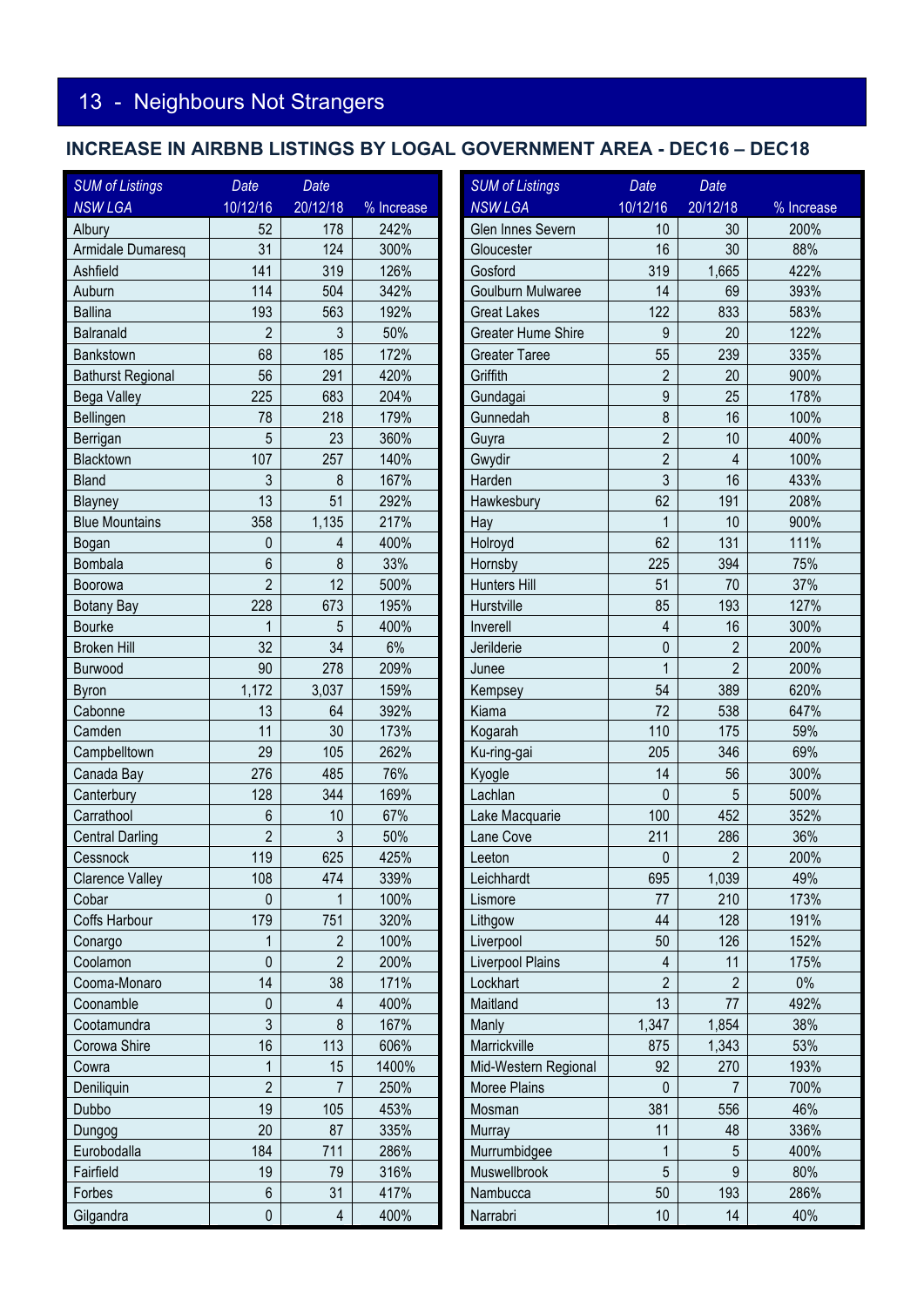# **INCREASE IN AIRBNB LISTINGS BY LOGAL GOVERNMENT AREA - DEC16 – DEC18**

| <b>SUM of Listings</b>   | Date             | Date           |            | <b>SUM of Listings</b>    | Date                     | Date                    |            |  |
|--------------------------|------------------|----------------|------------|---------------------------|--------------------------|-------------------------|------------|--|
| <b>NSW LGA</b>           | 10/12/16         | 20/12/18       | % Increase | <b>NSW LGA</b>            | 10/12/16                 | 20/12/18                | % Increase |  |
| Albury                   | 52               | 178            | 242%       | Glen Innes Severn         | 10                       | 30                      | 200%       |  |
| Armidale Dumaresq        | 31               | 124            | 300%       | Gloucester                | 16                       | 30                      | 88%        |  |
| Ashfield                 | 141              | 319            | 126%       | Gosford                   | 319                      | 1,665                   | 422%       |  |
| Auburn                   | 114              | 504            | 342%       | Goulburn Mulwaree         | 14                       | 69                      | 393%       |  |
| <b>Ballina</b>           | 193              | 563            | 192%       | <b>Great Lakes</b>        | 122                      | 833                     | 583%       |  |
| Balranald                | $\overline{2}$   | 3              | 50%        | <b>Greater Hume Shire</b> | $\boldsymbol{9}$         | 20                      | 122%       |  |
| Bankstown                | 68               | 185            | 172%       | <b>Greater Taree</b>      | 55                       | 239                     | 335%       |  |
| <b>Bathurst Regional</b> | 56               | 291            | 420%       | Griffith                  | $\overline{2}$           | 20                      | 900%       |  |
| Bega Valley              | 225              | 683            | 204%       | Gundagai                  | $\boldsymbol{9}$         | 25                      | 178%       |  |
| Bellingen                | 78               | 218            | 179%       | Gunnedah                  | 8                        | 16                      | 100%       |  |
| Berrigan                 | 5                | 23             | 360%       | Guyra                     | $\overline{2}$           | 10                      | 400%       |  |
| Blacktown                | 107              | 257            | 140%       | Gwydir                    | $\overline{2}$           | $\overline{\mathbf{4}}$ | 100%       |  |
| <b>Bland</b>             | 3                | 8              | 167%       | Harden                    | 3                        | 16                      | 433%       |  |
| Blayney                  | 13               | 51             | 292%       | Hawkesbury                | 62                       | 191                     | 208%       |  |
| <b>Blue Mountains</b>    | 358              | 1,135          | 217%       | Hay                       | 1                        | 10                      | 900%       |  |
| Bogan                    | 0                | $\overline{4}$ | 400%       | Holroyd                   | 62                       | 131                     | 111%       |  |
| Bombala                  | 6                | 8              | 33%        | Hornsby                   | 225                      | 394                     | 75%        |  |
| Boorowa                  | $\overline{2}$   | 12             | 500%       | Hunters Hill              | 51                       | 70                      | 37%        |  |
| <b>Botany Bay</b>        | 228              | 673            | 195%       | Hurstville                | 85                       | 193                     | 127%       |  |
| Bourke                   | 1                | 5              | 400%       | Inverell                  | $\overline{\mathcal{L}}$ | 16                      | 300%       |  |
| <b>Broken Hill</b>       | 32               | 34             | 6%         | Jerilderie                | $\mathbf 0$              | $\overline{2}$          | 200%       |  |
| Burwood                  | 90               | 278            | 209%       | Junee                     | $\overline{1}$           | $\overline{2}$          | 200%       |  |
| Byron                    | 1,172            | 3,037          | 159%       | Kempsey                   | 54                       | 389                     | 620%       |  |
| Cabonne                  | 13               | 64             | 392%       | Kiama                     | 72                       | 538                     | 647%       |  |
| Camden                   | 11               | 30             | 173%       | Kogarah                   | 110                      | 175                     | 59%        |  |
| Campbelltown             | 29               | 105            | 262%       | Ku-ring-gai               | 205                      | 346                     | 69%        |  |
| Canada Bay               | 276              | 485            | 76%        | Kyogle                    | 14                       | 56                      | 300%       |  |
| Canterbury               | 128              | 344            | 169%       | Lachlan                   | $\mathbf 0$              | 5                       | 500%       |  |
| Carrathool               | 6                | 10             | 67%        | Lake Macquarie            | 100                      | 452                     | 352%       |  |
| <b>Central Darling</b>   | $\overline{2}$   | 3              | 50%        | Lane Cove                 | 211                      | 286                     | 36%        |  |
| Cessnock                 | 119              | 625            | 425%       | Leeton                    | $\mathbf 0$              | $\overline{2}$          | 200%       |  |
| <b>Clarence Valley</b>   | 108              | 474            | 339%       | Leichhardt                | 695                      | 1,039                   | 49%        |  |
| Cobar                    | 0                |                | 100%       | Lismore                   | 77                       | 210                     | 173%       |  |
| Coffs Harbour            | 179              | 751            | 320%       | Lithgow                   | 44                       | 128                     | 191%       |  |
| Conargo                  | 1                | $\overline{2}$ | 100%       | Liverpool                 | 50                       | 126                     | 152%       |  |
| Coolamon                 | 0                | $\overline{2}$ | 200%       | <b>Liverpool Plains</b>   | $\overline{\mathbf{4}}$  | 11                      | 175%       |  |
| Cooma-Monaro             | 14               | 38             | 171%       | Lockhart                  | $\overline{2}$           | $\overline{2}$          | $0\%$      |  |
| Coonamble                | 0                | 4              | 400%       | Maitland                  | 13                       | 77                      | 492%       |  |
| Cootamundra              | 3                | 8              | 167%       | Manly                     | 1,347                    | 1,854                   | 38%        |  |
| Corowa Shire             | 16               | 113            | 606%       | Marrickville              | 875                      | 1,343                   | 53%        |  |
| Cowra                    | 1                | 15             | 1400%      | Mid-Western Regional      | 92                       | 270                     | 193%       |  |
| Deniliquin               | $\overline{2}$   | $\overline{7}$ | 250%       | Moree Plains              | $\mathbf 0$              | $\overline{7}$          | 700%       |  |
| Dubbo                    | 19               | 105            | 453%       | Mosman                    | 381                      | 556                     | 46%        |  |
| Dungog                   | 20               | 87             | 335%       | Murray                    | 11                       | 48                      | 336%       |  |
| Eurobodalla              | 184              | 711            | 286%       | Murrumbidgee              | $\mathbf{1}$             | 5                       | 400%       |  |
| Fairfield                | 19               | 79             | 316%       | Muswellbrook              | 5                        | $\overline{9}$          | 80%        |  |
| Forbes                   | $\boldsymbol{6}$ | 31             | 417%       | Nambucca                  | 50                       | 193                     | 286%       |  |
| Gilgandra                | $\mathbf 0$      | $\overline{4}$ | 400%       | Narrabri                  | 10                       | 14                      | 40%        |  |
|                          |                  |                |            |                           |                          |                         |            |  |